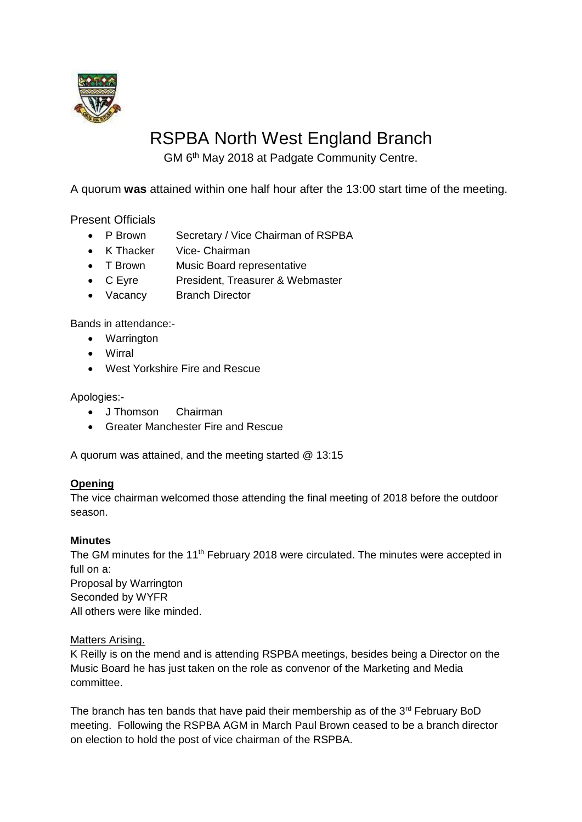

# RSPBA North West England Branch

GM 6<sup>th</sup> May 2018 at Padgate Community Centre.

A quorum **was** attained within one half hour after the 13:00 start time of the meeting.

Present Officials

- P Brown Secretary / Vice Chairman of RSPBA
- K Thacker Vice- Chairman
- T Brown Music Board representative
- C Eyre President, Treasurer & Webmaster
- Vacancy Branch Director

Bands in attendance:-

- Warrington
- Wirral
- West Yorkshire Fire and Rescue

Apologies:-

- J Thomson Chairman
- Greater Manchester Fire and Rescue

A quorum was attained, and the meeting started @ 13:15

# **Opening**

The vice chairman welcomed those attending the final meeting of 2018 before the outdoor season.

# **Minutes**

The GM minutes for the 11<sup>th</sup> February 2018 were circulated. The minutes were accepted in full on a: Proposal by Warrington Seconded by WYFR All others were like minded.

# Matters Arising.

K Reilly is on the mend and is attending RSPBA meetings, besides being a Director on the Music Board he has just taken on the role as convenor of the Marketing and Media committee.

The branch has ten bands that have paid their membership as of the  $3<sup>rd</sup>$  February BoD meeting. Following the RSPBA AGM in March Paul Brown ceased to be a branch director on election to hold the post of vice chairman of the RSPBA.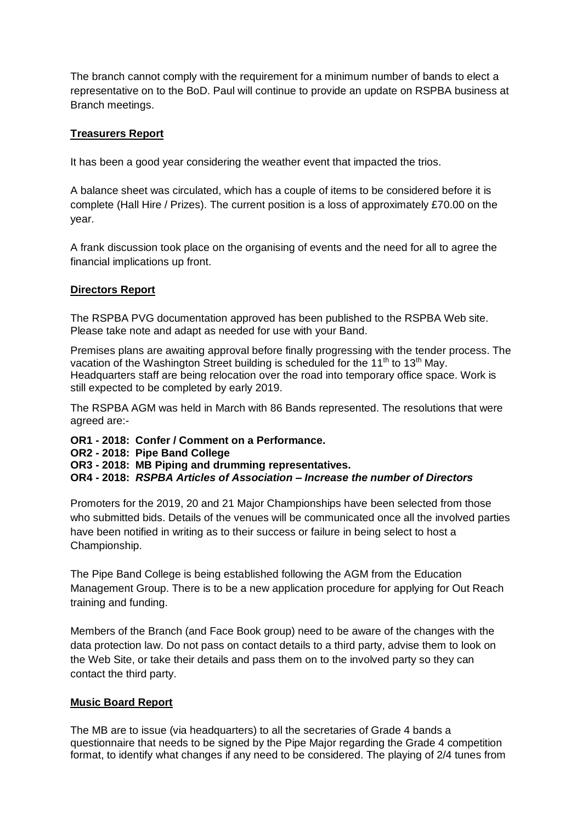The branch cannot comply with the requirement for a minimum number of bands to elect a representative on to the BoD. Paul will continue to provide an update on RSPBA business at Branch meetings.

# **Treasurers Report**

It has been a good year considering the weather event that impacted the trios.

A balance sheet was circulated, which has a couple of items to be considered before it is complete (Hall Hire / Prizes). The current position is a loss of approximately £70.00 on the year.

A frank discussion took place on the organising of events and the need for all to agree the financial implications up front.

# **Directors Report**

The RSPBA PVG documentation approved has been published to the RSPBA Web site. Please take note and adapt as needed for use with your Band.

Premises plans are awaiting approval before finally progressing with the tender process. The vacation of the Washington Street building is scheduled for the 11<sup>th</sup> to 13<sup>th</sup> May. Headquarters staff are being relocation over the road into temporary office space. Work is still expected to be completed by early 2019.

The RSPBA AGM was held in March with 86 Bands represented. The resolutions that were agreed are:-

**OR1 - 2018: Confer / Comment on a Performance.**

**OR2 - 2018: Pipe Band College**

**OR3 - 2018: MB Piping and drumming representatives.**

**OR4 - 2018:** *RSPBA Articles of Association – Increase the number of Directors* 

Promoters for the 2019, 20 and 21 Major Championships have been selected from those who submitted bids. Details of the venues will be communicated once all the involved parties have been notified in writing as to their success or failure in being select to host a Championship.

The Pipe Band College is being established following the AGM from the Education Management Group. There is to be a new application procedure for applying for Out Reach training and funding.

Members of the Branch (and Face Book group) need to be aware of the changes with the data protection law. Do not pass on contact details to a third party, advise them to look on the Web Site, or take their details and pass them on to the involved party so they can contact the third party.

# **Music Board Report**

The MB are to issue (via headquarters) to all the secretaries of Grade 4 bands a questionnaire that needs to be signed by the Pipe Major regarding the Grade 4 competition format, to identify what changes if any need to be considered. The playing of 2/4 tunes from